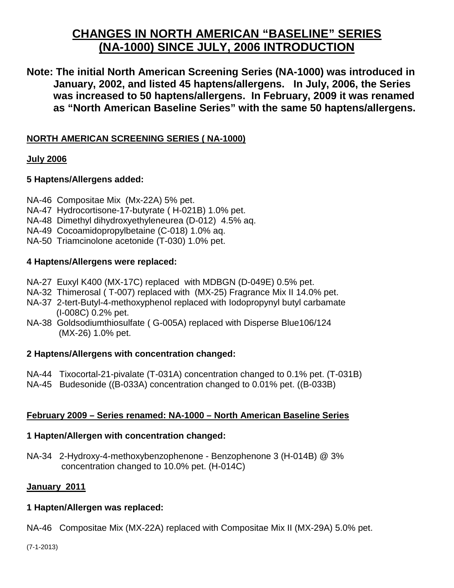# **CHANGES IN NORTH AMERICAN "BASELINE" SERIES (NA-1000) SINCE JULY, 2006 INTRODUCTION**

**Note: The initial North American Screening Series (NA-1000) was introduced in January, 2002, and listed 45 haptens/allergens. In July, 2006, the Series was increased to 50 haptens/allergens. In February, 2009 it was renamed as "North American Baseline Series" with the same 50 haptens/allergens.** 

## **NORTH AMERICAN SCREENING SERIES ( NA-1000)**

### **July 2006**

## **5 Haptens/Allergens added:**

- NA-46 Compositae Mix (Mx-22A) 5% pet.
- NA-47 Hydrocortisone-17-butyrate ( H-021B) 1.0% pet.
- NA-48 Dimethyl dihydroxyethyleneurea (D-012) 4.5% aq.
- NA-49 Cocoamidopropylbetaine (C-018) 1.0% aq.
- NA-50 Triamcinolone acetonide (T-030) 1.0% pet.

### **4 Haptens/Allergens were replaced:**

- NA-27 Euxyl K400 (MX-17C) replaced with MDBGN (D-049E) 0.5% pet.
- NA-32 Thimerosal ( T-007) replaced with (MX-25) Fragrance Mix II 14.0% pet.
- NA-37 2-tert-Butyl-4-methoxyphenol replaced with Iodopropynyl butyl carbamate (I-008C) 0.2% pet.
- NA-38 Goldsodiumthiosulfate ( G-005A) replaced with Disperse Blue106/124 (MX-26) 1.0% pet.

## **2 Haptens/Allergens with concentration changed:**

- NA-44 Tixocortal-21-pivalate (T-031A) concentration changed to 0.1% pet. (T-031B)
- NA-45 Budesonide ((B-033A) concentration changed to 0.01% pet. ((B-033B)

## **February 2009 – Series renamed: NA-1000 – North American Baseline Series**

#### **1 Hapten/Allergen with concentration changed:**

NA-34 2-Hydroxy-4-methoxybenzophenone - Benzophenone 3 (H-014B) @ 3% concentration changed to 10.0% pet. (H-014C)

## **January 2011**

#### **1 Hapten/Allergen was replaced:**

NA-46 Compositae Mix (MX-22A) replaced with Compositae Mix II (MX-29A) 5.0% pet.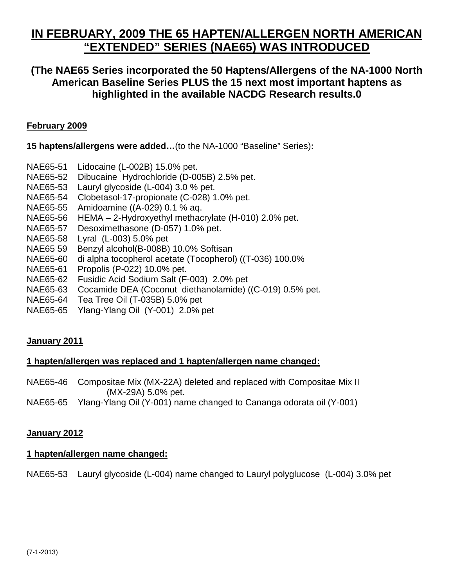# **IN FEBRUARY, 2009 THE 65 HAPTEN/ALLERGEN NORTH AMERICAN "EXTENDED" SERIES (NAE65) WAS INTRODUCED**

# **(The NAE65 Series incorporated the 50 Haptens/Allergens of the NA-1000 North American Baseline Series PLUS the 15 next most important haptens as highlighted in the available NACDG Research results.0**

## **February 2009**

**15 haptens/allergens were added…**(to the NA-1000 "Baseline" Series)**:** 

- NAE65-51 Lidocaine (L-002B) 15.0% pet.
- NAE65-52 Dibucaine Hydrochloride (D-005B) 2.5% pet.
- NAE65-53 Lauryl glycoside (L-004) 3.0 % pet.
- NAE65-54 Clobetasol-17-propionate (C-028) 1.0% pet.
- NAE65-55 Amidoamine ((A-029) 0.1 % aq.
- NAE65-56 HEMA 2-Hydroxyethyl methacrylate (H-010) 2.0% pet.
- NAE65-57 Desoximethasone (D-057) 1.0% pet.
- NAE65-58 Lyral (L-003) 5.0% pet
- NAE65 59 Benzyl alcohol(B-008B) 10.0% Softisan
- NAE65-60 di alpha tocopherol acetate (Tocopherol) ((T-036) 100.0%
- NAE65-61 Propolis (P-022) 10.0% pet.
- NAE65-62 Fusidic Acid Sodium Salt (F-003) 2.0% pet
- NAE65-63 Cocamide DEA (Coconut diethanolamide) ((C-019) 0.5% pet.
- NAE65-64 Tea Tree Oil (T-035B) 5.0% pet
- NAE65-65 Ylang-Ylang Oil (Y-001) 2.0% pet

## **January 2011**

# **1 hapten/allergen was replaced and 1 hapten/allergen name changed:**

NAE65-46 Compositae Mix (MX-22A) deleted and replaced with Compositae Mix II (MX-29A) 5.0% pet.

NAE65-65 Ylang-Ylang Oil (Y-001) name changed to Cananga odorata oil (Y-001)

# **January 2012**

# **1 hapten/allergen name changed:**

NAE65-53 Lauryl glycoside (L-004) name changed to Lauryl polyglucose (L-004) 3.0% pet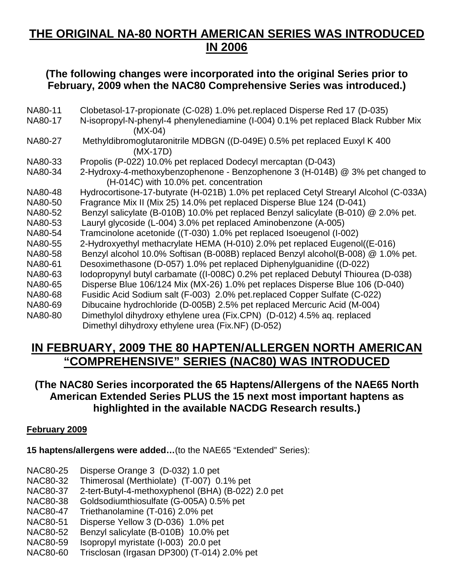# **THE ORIGINAL NA-80 NORTH AMERICAN SERIES WAS INTRODUCED IN 2006**

# **(The following changes were incorporated into the original Series prior to February, 2009 when the NAC80 Comprehensive Series was introduced.)**

| NA80-11 | Clobetasol-17-propionate (C-028) 1.0% pet.replaced Disperse Red 17 (D-035)            |
|---------|---------------------------------------------------------------------------------------|
| NA80-17 | N-isopropyl-N-phenyl-4 phenylenediamine (I-004) 0.1% pet replaced Black Rubber Mix    |
|         | $(MX-04)$                                                                             |
| NA80-27 | Methyldibromoglutaronitrile MDBGN ((D-049E) 0.5% pet replaced Euxyl K 400             |
|         | $(MX-17D)$                                                                            |
| NA80-33 | Propolis (P-022) 10.0% pet replaced Dodecyl mercaptan (D-043)                         |
| NA80-34 | 2-Hydroxy-4-methoxybenzophenone - Benzophenone 3 (H-014B) @ 3% pet changed to         |
|         | (H-014C) with 10.0% pet. concentration                                                |
| NA80-48 | Hydrocortisone-17-butyrate (H-021B) 1.0% pet replaced Cetyl Strearyl Alcohol (C-033A) |
| NA80-50 | Fragrance Mix II (Mix 25) 14.0% pet replaced Disperse Blue 124 (D-041)                |
| NA80-52 | Benzyl salicylate (B-010B) 10.0% pet replaced Benzyl salicylate (B-010) @ 2.0% pet.   |
| NA80-53 | Lauryl glycoside (L-004) 3.0% pet replaced Aminobenzone (A-005)                       |
| NA80-54 | Tramcinolone acetonide ((T-030) 1.0% pet replaced Isoeugenol (I-002)                  |
| NA80-55 | 2-Hydroxyethyl methacrylate HEMA (H-010) 2.0% pet replaced Eugenol((E-016)            |
| NA80-58 | Benzyl alcohol 10.0% Softisan (B-008B) replaced Benzyl alcohol(B-008) @ 1.0% pet.     |
| NA80-61 | Desoximethasone (D-057) 1.0% pet replaced Diphenylguanidine ((D-022)                  |
| NA80-63 | lodopropynyl butyl carbamate ((I-008C) 0.2% pet replaced Debutyl Thiourea (D-038)     |
| NA80-65 | Disperse Blue 106/124 Mix (MX-26) 1.0% pet replaces Disperse Blue 106 (D-040)         |
| NA80-68 | Fusidic Acid Sodium salt (F-003) 2.0% pet.replaced Copper Sulfate (C-022)             |
| NA80-69 | Dibucaine hydrochloride (D-005B) 2.5% pet replaced Mercuric Acid (M-004)              |
| NA80-80 | Dimethylol dihydroxy ethylene urea (Fix.CPN) (D-012) 4.5% aq. replaced                |
|         | Dimethyl dihydroxy ethylene urea (Fix.NF) (D-052)                                     |

# **IN FEBRUARY, 2009 THE 80 HAPTEN/ALLERGEN NORTH AMERICAN "COMPREHENSIVE" SERIES (NAC80) WAS INTRODUCED**

# **(The NAC80 Series incorporated the 65 Haptens/Allergens of the NAE65 North American Extended Series PLUS the 15 next most important haptens as highlighted in the available NACDG Research results.)**

## **February 2009**

**15 haptens/allergens were added…**(to the NAE65 "Extended" Series):

NAC80-25 Disperse Orange 3 (D-032) 1.0 pet

NAC80-32 Thimerosal (Merthiolate) (T-007) 0.1% pet

NAC80-37 2-tert-Butyl-4-methoxyphenol (BHA) (B-022) 2.0 pet

NAC80-38 Goldsodiumthiosulfate (G-005A) 0.5% pet

NAC80-47 Triethanolamine (T-016) 2.0% pet

NAC80-51 Disperse Yellow 3 (D-036) 1.0% pet

NAC80-52 Benzyl salicylate (B-010B) 10.0% pet

NAC80-59 Isopropyl myristate (I-003) 20.0 pet

NAC80-60 Trisclosan (Irgasan DP300) (T-014) 2.0% pet